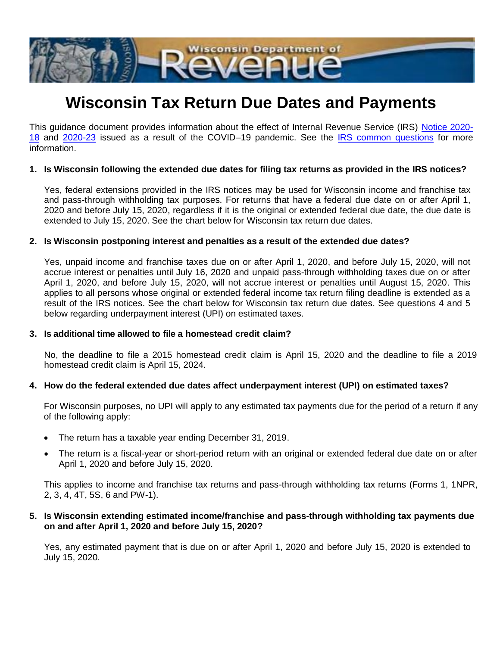

# **Wisconsin Tax Return Due Dates and Payments**

This guidance document provides information about the effect of Internal Revenue Service (IRS) [Notice 2020-](https://www.google.com/url?sa=t&rct=j&q=&esrc=s&source=web&cd=1&cad=rja&uact=8&ved=2ahUKEwia0q3DgsjoAhVKXM0KHepUAeEQFjAAegQIBBAB&url=https%3A%2F%2Fwww.irs.gov%2Fpub%2Firs-drop%2Fn-20-18.pdf&usg=AOvVaw2v0NcfcKCcJr4TXTYpvLHL) [18](https://www.google.com/url?sa=t&rct=j&q=&esrc=s&source=web&cd=1&cad=rja&uact=8&ved=2ahUKEwia0q3DgsjoAhVKXM0KHepUAeEQFjAAegQIBBAB&url=https%3A%2F%2Fwww.irs.gov%2Fpub%2Firs-drop%2Fn-20-18.pdf&usg=AOvVaw2v0NcfcKCcJr4TXTYpvLHL) and [2020-23](https://www.irs.gov/pub/irs-drop/n-20-23.pdf) issued as a result of the COVID–19 pandemic. See the [IRS common questions](https://www.irs.gov/newsroom/filing-and-payment-deadlines-questions-and-answers) for more information.

#### **1. Is Wisconsin following the extended due dates for filing tax returns as provided in the IRS notices?**

Yes, federal extensions provided in the IRS notices may be used for Wisconsin income and franchise tax and pass-through withholding tax purposes. For returns that have a federal due date on or after April 1, 2020 and before July 15, 2020, regardless if it is the original or extended federal due date, the due date is extended to July 15, 2020. See the chart below for Wisconsin tax return due dates.

#### **2. Is Wisconsin postponing interest and penalties as a result of the extended due dates?**

Yes, unpaid income and franchise taxes due on or after April 1, 2020, and before July 15, 2020, will not accrue interest or penalties until July 16, 2020 and unpaid pass-through withholding taxes due on or after April 1, 2020, and before July 15, 2020, will not accrue interest or penalties until August 15, 2020. This applies to all persons whose original or extended federal income tax return filing deadline is extended as a result of the IRS notices. See the chart below for Wisconsin tax return due dates. See questions 4 and 5 below regarding underpayment interest (UPI) on estimated taxes.

# **3. Is additional time allowed to file a homestead credit claim?**

No, the deadline to file a 2015 homestead credit claim is April 15, 2020 and the deadline to file a 2019 homestead credit claim is April 15, 2024.

# **4. How do the federal extended due dates affect underpayment interest (UPI) on estimated taxes?**

For Wisconsin purposes, no UPI will apply to any estimated tax payments due for the period of a return if any of the following apply:

- The return has a taxable year ending December 31, 2019.
- The return is a fiscal-year or short-period return with an original or extended federal due date on or after April 1, 2020 and before July 15, 2020.

This applies to income and franchise tax returns and pass-through withholding tax returns (Forms 1, 1NPR, 2, 3, 4, 4T, 5S, 6 and PW-1).

# **5. Is Wisconsin extending estimated income/franchise and pass-through withholding tax payments due on and after April 1, 2020 and before July 15, 2020?**

Yes, any estimated payment that is due on or after April 1, 2020 and before July 15, 2020 is extended to July 15, 2020.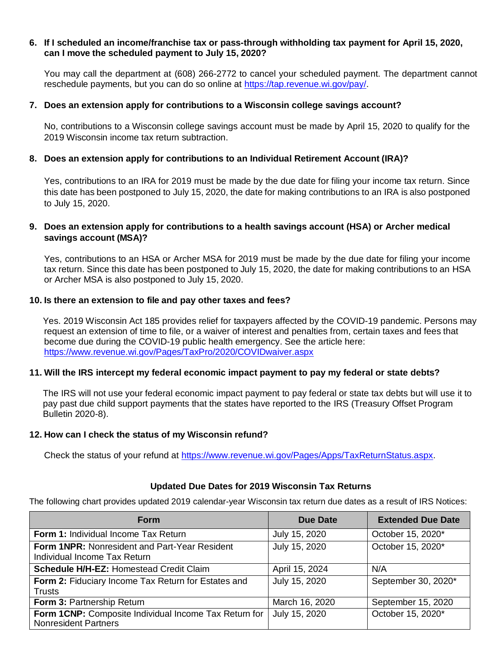#### **6. If I scheduled an income/franchise tax or pass-through withholding tax payment for April 15, 2020, can I move the scheduled payment to July 15, 2020?**

You may call the department at (608) 266-2772 to cancel your scheduled payment. The department cannot reschedule payments, but you can do so online at [https://tap.revenue.wi.gov/pay/.](https://tap.revenue.wi.gov/pay/)

#### **7. Does an extension apply for contributions to a Wisconsin college savings account?**

No, contributions to a Wisconsin college savings account must be made by April 15, 2020 to qualify for the 2019 Wisconsin income tax return subtraction.

#### **8. Does an extension apply for contributions to an Individual Retirement Account (IRA)?**

Yes, contributions to an IRA for 2019 must be made by the due date for filing your income tax return. Since this date has been postponed to July 15, 2020, the date for making contributions to an IRA is also postponed to July 15, 2020.

# **9. Does an extension apply for contributions to a health savings account (HSA) or Archer medical savings account (MSA)?**

Yes, contributions to an HSA or Archer MSA for 2019 must be made by the due date for filing your income tax return. Since this date has been postponed to July 15, 2020, the date for making contributions to an HSA or Archer MSA is also postponed to July 15, 2020.

#### **10. Is there an extension to file and pay other taxes and fees?**

Yes. 2019 Wisconsin Act 185 provides relief for taxpayers affected by the COVID-19 pandemic. Persons may request an extension of time to file, or a waiver of interest and penalties from, certain taxes and fees that become due during the COVID-19 public health emergency. See the article here: <https://www.revenue.wi.gov/Pages/TaxPro/2020/COVIDwaiver.aspx>

# **11. Will the IRS intercept my federal economic impact payment to pay my federal or state debts?**

The IRS will not use your federal economic impact payment to pay federal or state tax debts but will use it to pay past due child support payments that the states have reported to the IRS (Treasury Offset Program Bulletin 2020-8).

#### **12. How can I check the status of my Wisconsin refund?**

Check the status of your refund at [https://www.revenue.wi.gov/Pages/Apps/TaxReturnStatus.aspx.](https://www.revenue.wi.gov/Pages/Apps/TaxReturnStatus.aspx)

# **Updated Due Dates for 2019 Wisconsin Tax Returns**

The following chart provides updated 2019 calendar-year Wisconsin tax return due dates as a result of IRS Notices:

| <b>Form</b>                                                                          | <b>Due Date</b> | <b>Extended Due Date</b> |
|--------------------------------------------------------------------------------------|-----------------|--------------------------|
| Form 1: Individual Income Tax Return                                                 | July 15, 2020   | October 15, 2020*        |
| <b>Form 1NPR: Nonresident and Part-Year Resident</b><br>Individual Income Tax Return | July 15, 2020   | October 15, 2020*        |
| <b>Schedule H/H-EZ: Homestead Credit Claim</b>                                       | April 15, 2024  | N/A                      |
| Form 2: Fiduciary Income Tax Return for Estates and<br>Trusts                        | July 15, 2020   | September 30, 2020*      |
| Form 3: Partnership Return                                                           | March 16, 2020  | September 15, 2020       |
| Form 1CNP: Composite Individual Income Tax Return for<br><b>Nonresident Partners</b> | July 15, 2020   | October 15, 2020*        |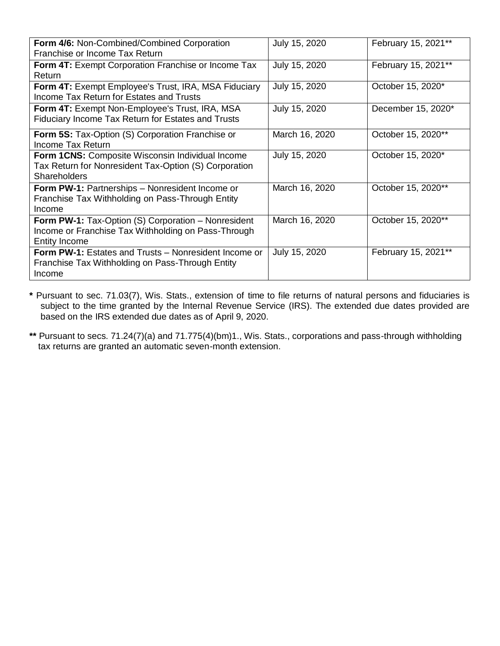| Form 4/6: Non-Combined/Combined Corporation                  | July 15, 2020  | February 15, 2021** |
|--------------------------------------------------------------|----------------|---------------------|
| Franchise or Income Tax Return                               |                |                     |
| Form 4T: Exempt Corporation Franchise or Income Tax          | July 15, 2020  | February 15, 2021** |
| <b>Return</b>                                                |                |                     |
| Form 4T: Exempt Employee's Trust, IRA, MSA Fiduciary         | July 15, 2020  | October 15, 2020*   |
| Income Tax Return for Estates and Trusts                     |                |                     |
| <b>Form 4T: Exempt Non-Employee's Trust, IRA, MSA</b>        | July 15, 2020  | December 15, 2020*  |
| Fiduciary Income Tax Return for Estates and Trusts           |                |                     |
| <b>Form 5S:</b> Tax-Option (S) Corporation Franchise or      | March 16, 2020 | October 15, 2020**  |
| Income Tax Return                                            |                |                     |
| Form 1CNS: Composite Wisconsin Individual Income             | July 15, 2020  | October 15, 2020*   |
| Tax Return for Nonresident Tax-Option (S) Corporation        |                |                     |
| <b>Shareholders</b>                                          |                |                     |
| <b>Form PW-1: Partnerships - Nonresident Income or</b>       | March 16, 2020 | October 15, 2020**  |
| Franchise Tax Withholding on Pass-Through Entity             |                |                     |
| Income                                                       |                |                     |
| <b>Form PW-1: Tax-Option (S) Corporation - Nonresident</b>   | March 16, 2020 | October 15, 2020**  |
| Income or Franchise Tax Withholding on Pass-Through          |                |                     |
| <b>Entity Income</b>                                         |                |                     |
| <b>Form PW-1: Estates and Trusts – Nonresident Income or</b> | July 15, 2020  | February 15, 2021** |
| Franchise Tax Withholding on Pass-Through Entity             |                |                     |
| Income                                                       |                |                     |

**\*** Pursuant to sec. 71.03(7), Wis. Stats., extension of time to file returns of natural persons and fiduciaries is subject to the time granted by the Internal Revenue Service (IRS). The extended due dates provided are based on the IRS extended due dates as of April 9, 2020.

**\*\*** Pursuant to secs. 71.24(7)(a) and 71.775(4)(bm)1., Wis. Stats., corporations and pass-through withholding tax returns are granted an automatic seven-month extension.